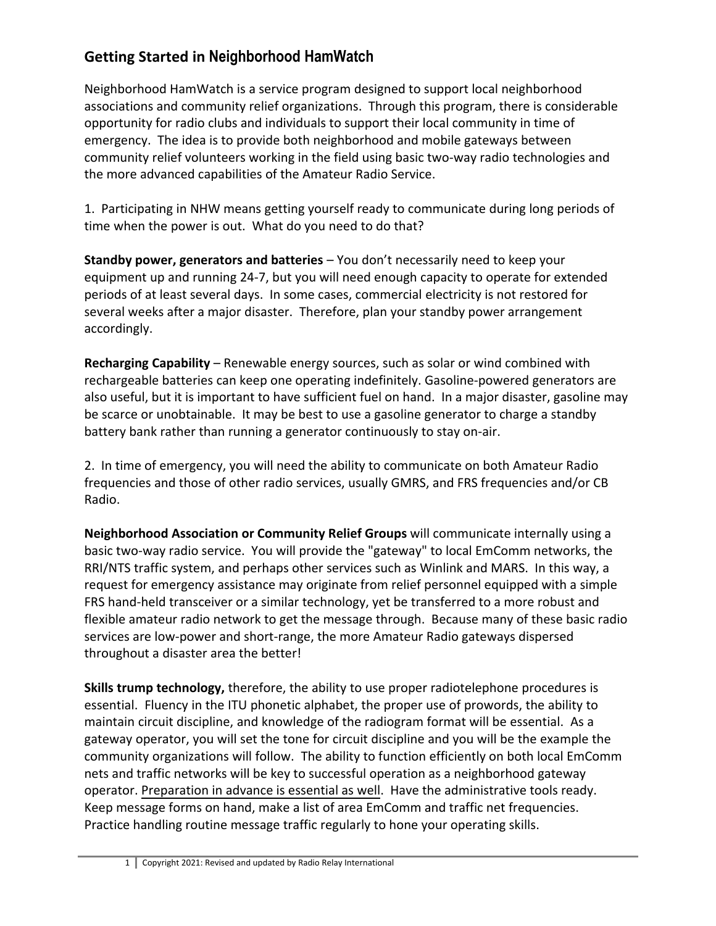## **Getting Started in Neighborhood HamWatch**

Neighborhood HamWatch is a service program designed to support local neighborhood associations and community relief organizations. Through this program, there is considerable opportunity for radio clubs and individuals to support their local community in time of emergency. The idea is to provide both neighborhood and mobile gateways between community relief volunteers working in the field using basic two-way radio technologies and the more advanced capabilities of the Amateur Radio Service.

1. Participating in NHW means getting yourself ready to communicate during long periods of time when the power is out. What do you need to do that?

**Standby power, generators and batteries** – You don't necessarily need to keep your equipment up and running 24-7, but you will need enough capacity to operate for extended periods of at least several days. In some cases, commercial electricity is not restored for several weeks after a major disaster. Therefore, plan your standby power arrangement accordingly.

**Recharging Capability** – Renewable energy sources, such as solar or wind combined with rechargeable batteries can keep one operating indefinitely. Gasoline-powered generators are also useful, but it is important to have sufficient fuel on hand. In a major disaster, gasoline may be scarce or unobtainable. It may be best to use a gasoline generator to charge a standby battery bank rather than running a generator continuously to stay on-air.

2. In time of emergency, you will need the ability to communicate on both Amateur Radio frequencies and those of other radio services, usually GMRS, and FRS frequencies and/or CB Radio.

**Neighborhood Association or Community Relief Groups** will communicate internally using a basic two-way radio service. You will provide the "gateway" to local EmComm networks, the RRI/NTS traffic system, and perhaps other services such as Winlink and MARS. In this way, a request for emergency assistance may originate from relief personnel equipped with a simple FRS hand-held transceiver or a similar technology, yet be transferred to a more robust and flexible amateur radio network to get the message through. Because many of these basic radio services are low-power and short-range, the more Amateur Radio gateways dispersed throughout a disaster area the better!

**Skills trump technology,** therefore, the ability to use proper radiotelephone procedures is essential. Fluency in the ITU phonetic alphabet, the proper use of prowords, the ability to maintain circuit discipline, and knowledge of the radiogram format will be essential. As a gateway operator, you will set the tone for circuit discipline and you will be the example the community organizations will follow. The ability to function efficiently on both local EmComm nets and traffic networks will be key to successful operation as a neighborhood gateway operator. Preparation in advance is essential as well. Have the administrative tools ready. Keep message forms on hand, make a list of area EmComm and traffic net frequencies. Practice handling routine message traffic regularly to hone your operating skills.